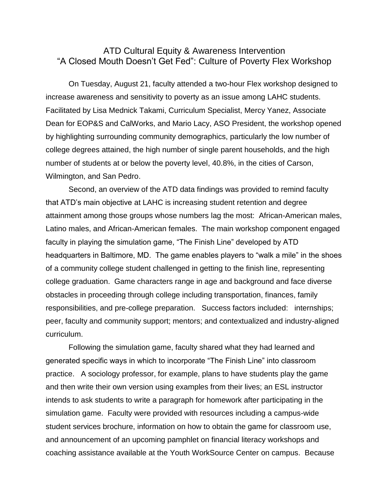## ATD Cultural Equity & Awareness Intervention "A Closed Mouth Doesn't Get Fed": Culture of Poverty Flex Workshop

On Tuesday, August 21, faculty attended a two-hour Flex workshop designed to increase awareness and sensitivity to poverty as an issue among LAHC students. Facilitated by Lisa Mednick Takami, Curriculum Specialist, Mercy Yanez, Associate Dean for EOP&S and CalWorks, and Mario Lacy, ASO President, the workshop opened by highlighting surrounding community demographics, particularly the low number of college degrees attained, the high number of single parent households, and the high number of students at or below the poverty level, 40.8%, in the cities of Carson, Wilmington, and San Pedro.

Second, an overview of the ATD data findings was provided to remind faculty that ATD's main objective at LAHC is increasing student retention and degree attainment among those groups whose numbers lag the most: African-American males, Latino males, and African-American females. The main workshop component engaged faculty in playing the simulation game, "The Finish Line" developed by ATD headquarters in Baltimore, MD. The game enables players to "walk a mile" in the shoes of a community college student challenged in getting to the finish line, representing college graduation. Game characters range in age and background and face diverse obstacles in proceeding through college including transportation, finances, family responsibilities, and pre-college preparation. Success factors included: internships; peer, faculty and community support; mentors; and contextualized and industry-aligned curriculum.

Following the simulation game, faculty shared what they had learned and generated specific ways in which to incorporate "The Finish Line" into classroom practice. A sociology professor, for example, plans to have students play the game and then write their own version using examples from their lives; an ESL instructor intends to ask students to write a paragraph for homework after participating in the simulation game. Faculty were provided with resources including a campus-wide student services brochure, information on how to obtain the game for classroom use, and announcement of an upcoming pamphlet on financial literacy workshops and coaching assistance available at the Youth WorkSource Center on campus. Because